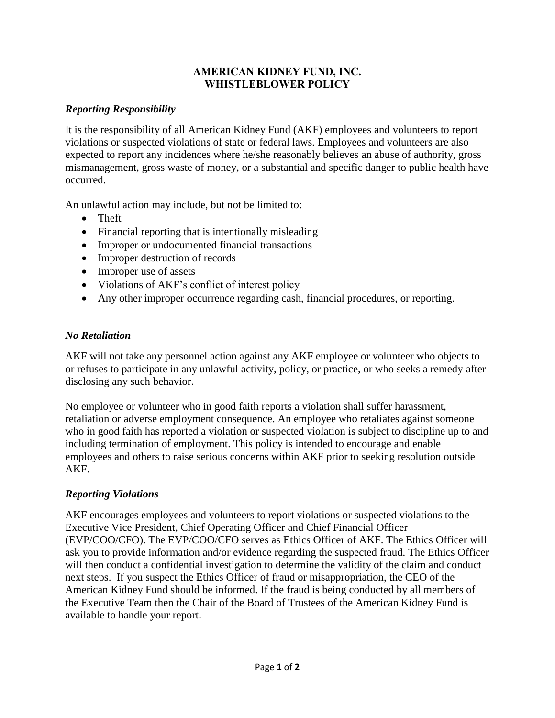#### **AMERICAN KIDNEY FUND, INC. WHISTLEBLOWER POLICY**

# *Reporting Responsibility*

It is the responsibility of all American Kidney Fund (AKF) employees and volunteers to report violations or suspected violations of state or federal laws. Employees and volunteers are also expected to report any incidences where he/she reasonably believes an abuse of authority, gross mismanagement, gross waste of money, or a substantial and specific danger to public health have occurred.

An unlawful action may include, but not be limited to:

- Theft
- Financial reporting that is intentionally misleading
- Improper or undocumented financial transactions
- Improper destruction of records
- Improper use of assets
- Violations of AKF's conflict of interest policy
- Any other improper occurrence regarding cash, financial procedures, or reporting.

## *No Retaliation*

AKF will not take any personnel action against any AKF employee or volunteer who objects to or refuses to participate in any unlawful activity, policy, or practice, or who seeks a remedy after disclosing any such behavior.

No employee or volunteer who in good faith reports a violation shall suffer harassment, retaliation or adverse employment consequence. An employee who retaliates against someone who in good faith has reported a violation or suspected violation is subject to discipline up to and including termination of employment. This policy is intended to encourage and enable employees and others to raise serious concerns within AKF prior to seeking resolution outside AKF.

#### *Reporting Violations*

AKF encourages employees and volunteers to report violations or suspected violations to the Executive Vice President, Chief Operating Officer and Chief Financial Officer (EVP/COO/CFO). The EVP/COO/CFO serves as Ethics Officer of AKF. The Ethics Officer will ask you to provide information and/or evidence regarding the suspected fraud. The Ethics Officer will then conduct a confidential investigation to determine the validity of the claim and conduct next steps. If you suspect the Ethics Officer of fraud or misappropriation, the CEO of the American Kidney Fund should be informed. If the fraud is being conducted by all members of the Executive Team then the Chair of the Board of Trustees of the American Kidney Fund is available to handle your report.